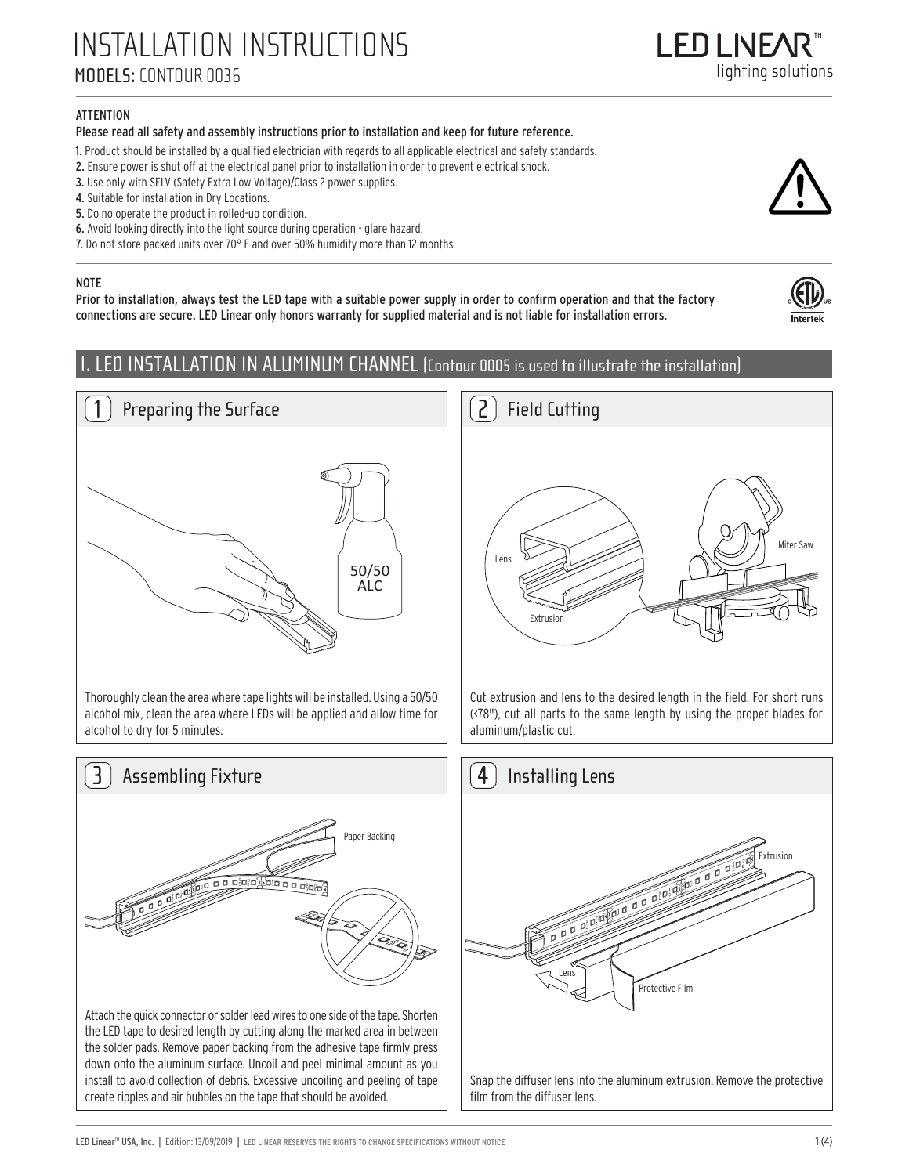## **ATTENTION**

### Please read all safety and assembly instructions prior to installation and keep for future reference.

- 1. Product should be installed by a qualified electrician with regards to all applicable electrical and safety standards.
- 2. Ensure power is shut off at the electrical panel prior to installation in order to prevent electrical shock.
- 3. Use only with SELV (Safety Extra Low Voltage)/Class 2 power supplies.
- 4. Suitable for installation in Dry Locations.
- 5. Do no operate the product in rolled-up condition.

Preparing the Surface

- 6. Avoid looking directly into the light source during operation glare hazard.
- 7. Do not store packed units over 70° F and over 50% humidity more than 12 months.

#### NOTE

1

Prior to installation, always test the LED tape with a suitable power supply in order to confirm operation and that the factory connections are secure. LED Linear only honors warranty for supplied material and is not liable for installation errors.

> 50/50 ALC

# I. LED INSTALLATION IN ALUMINUM CHANNEL (Contour 0005 is used to illustrate the installation)







Cut extrusion and lens to the desired length in the field. For short runs (<78"), cut all parts to the same length by using the proper blades for aluminum/plastic cut.







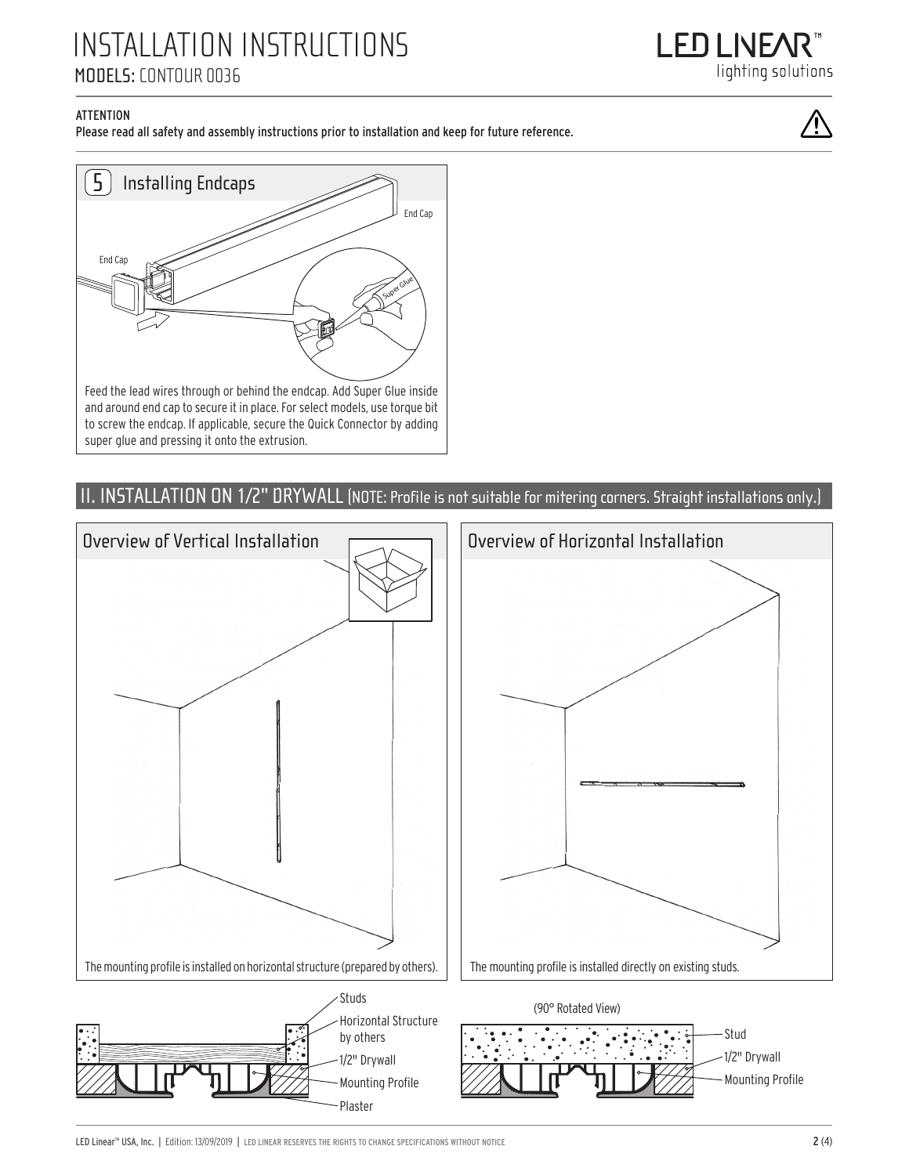

## **ATTENTION**

Please read all safety and assembly instructions prior to installation and keep for future reference.



# II. INSTALLATION ON 1/2" DRYWALL (NOTE: Profile is not suitable for mitering corners. Straight installations only.)

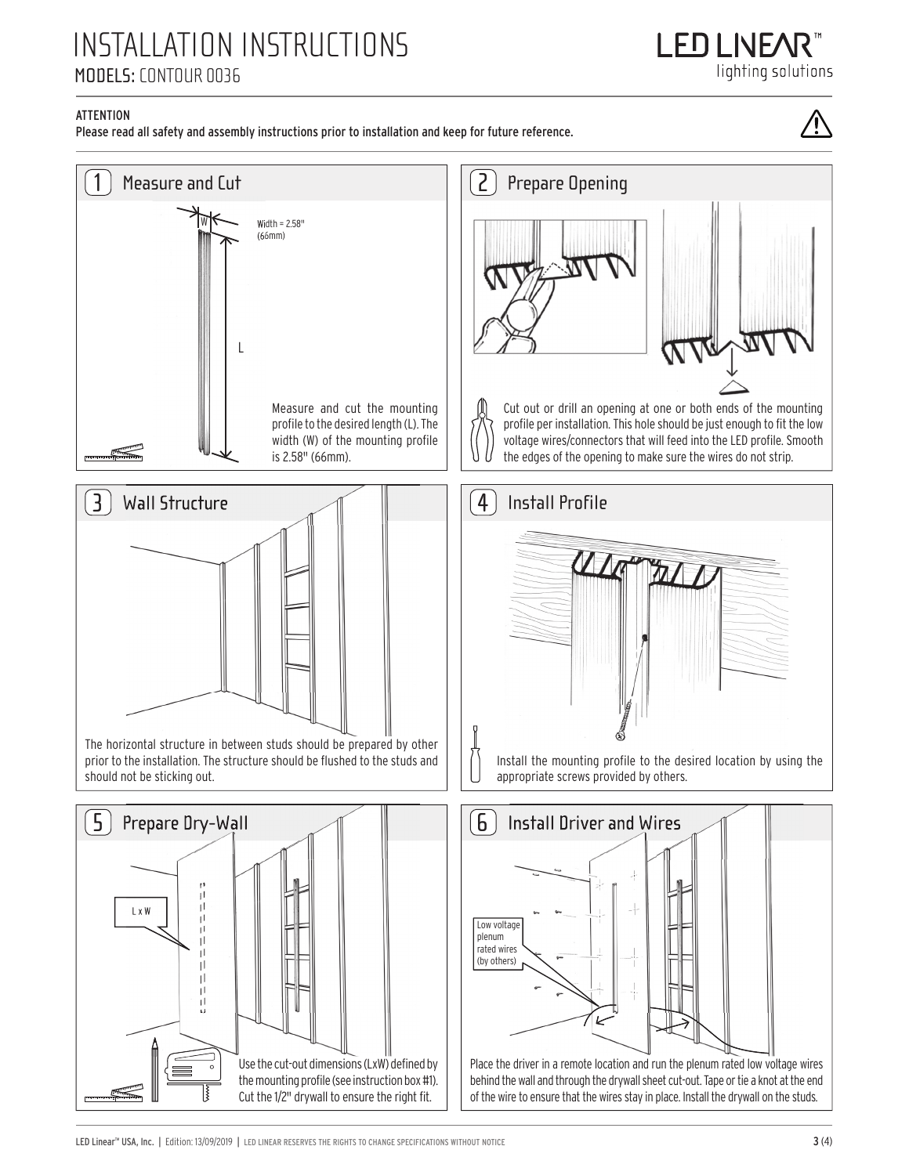I FNI NFA lighting solutions

## **ATTENTION**

Please read all safety and assembly instructions prior to installation and keep for future reference.